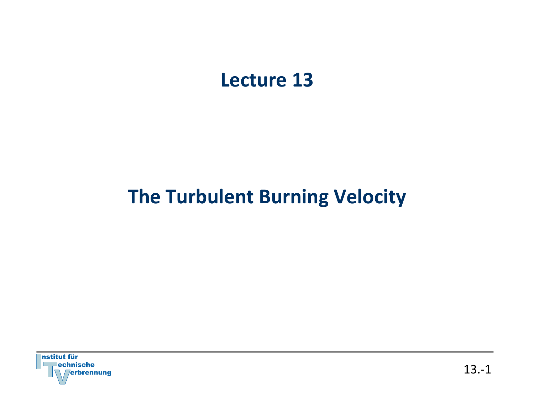## Lecture 13

# **The Turbulent Burning Velocity**

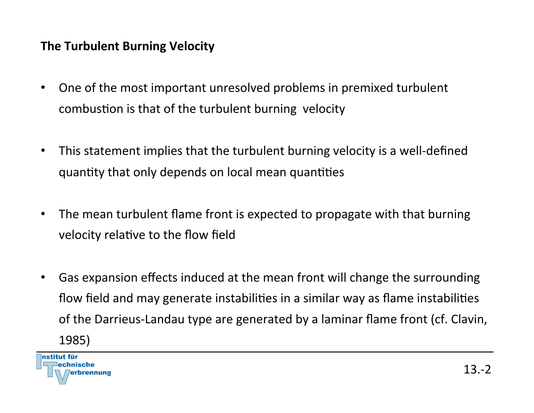#### **The Turbulent Burning Velocity**

- One of the most important unresolved problems in premixed turbulent combustion is that of the turbulent burning velocity
- This statement implies that the turbulent burning velocity is a well-defined quantity that only depends on local mean quantities
- The mean turbulent flame front is expected to propagate with that burning velocity relative to the flow field
- Gas expansion effects induced at the mean front will change the surrounding flow field and may generate instabilities in a similar way as flame instabilities of the Darrieus-Landau type are generated by a laminar flame front (cf. Clavin, 1985)

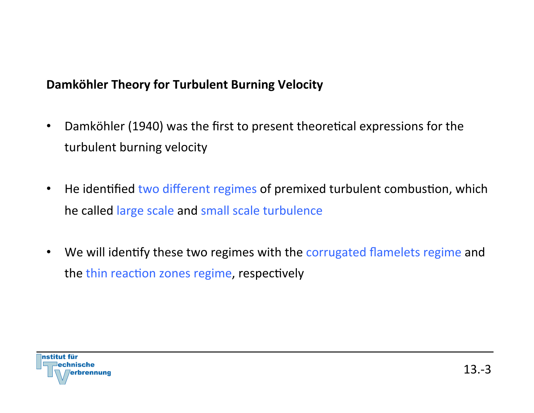#### Damköhler Theory for Turbulent Burning Velocity

- Damköhler (1940) was the first to present theoretical expressions for the turbulent burning velocity
- He identified two different regimes of premixed turbulent combustion, which he called large scale and small scale turbulence
- We will identify these two regimes with the corrugated flamelets regime and the thin reaction zones regime, respectively

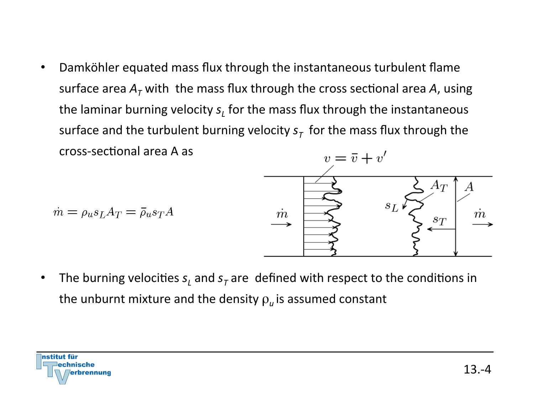• Damköhler equated mass flux through the instantaneous turbulent flame surface area  $A<sub>T</sub>$  with the mass flux through the cross sectional area A, using the laminar burning velocity s<sub>1</sub> for the mass flux through the instantaneous surface and the turbulent burning velocity  $s<sub>T</sub>$  for the mass flux through the cross-sectional area A as



 $\dot{m} = \rho_{u} s_L A_T = \bar{\rho}_{u} s_T A$ 

• The burning velocities  $s<sub>L</sub>$  and  $s<sub>T</sub>$  are defined with respect to the conditions in the unburnt mixture and the density  $\rho_{\mu}$  is assumed constant

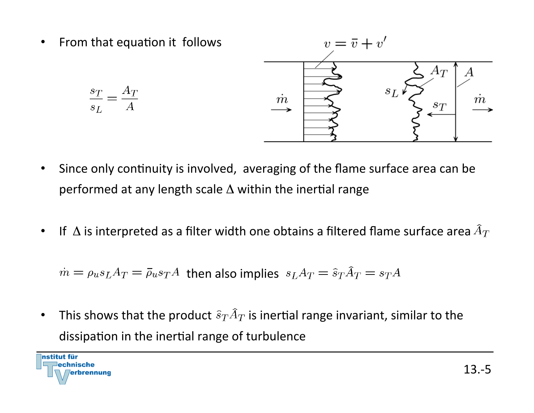

- Since only continuity is involved, averaging of the flame surface area can be performed at any length scale  $\Delta$  within the inertial range
- If  $\,\Delta$  is interpreted as a filter width one obtains a filtered flame surface area  $\widehat{A}_T$

$$
\dot{m} = \rho_u s_L A_T = \bar{\rho}_u s_T A
$$
 then also implies 
$$
s_L A_T = \hat{s}_T \hat{A}_T = s_T A
$$

• This shows that the product  $\widehat{s}_T\widehat{A}_T$  is inertial range invariant, similar to the dissipation in the inertial range of turbulence

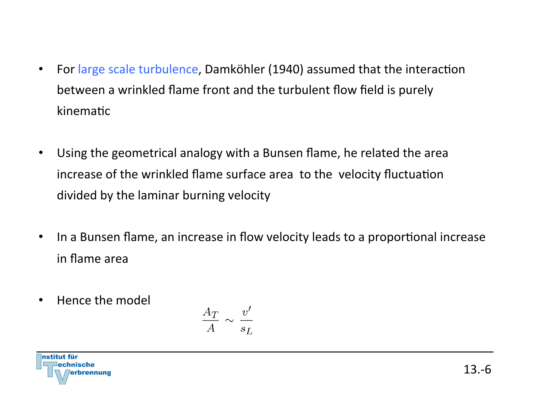- For large scale turbulence, Damköhler (1940) assumed that the interaction between a wrinkled flame front and the turbulent flow field is purely kinematic
- Using the geometrical analogy with a Bunsen flame, he related the area increase of the wrinkled flame surface area to the velocity fluctuation divided by the laminar burning velocity
- In a Bunsen flame, an increase in flow velocity leads to a proportional increase in flame area
- Hence the model

$$
\frac{A_T}{A} \sim \frac{v'}{s_L}
$$

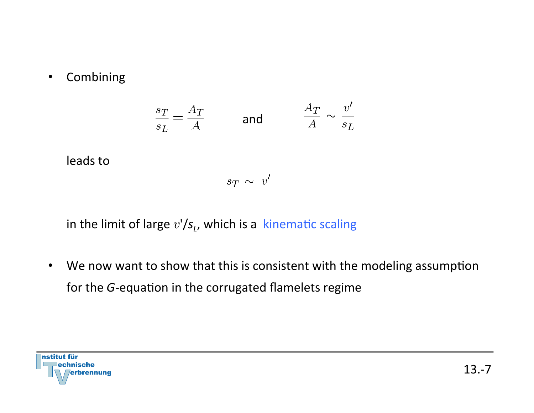• Combining 

leads to

$$
\frac{s_T}{s_L} = \frac{A_T}{A} \qquad \text{and} \qquad \frac{A_T}{A} \sim \frac{v'}{s_L}
$$

in the limit of large  $v'/s$ , which is a kinematic scaling

• We now want to show that this is consistent with the modeling assumption for the G-equation in the corrugated flamelets regime

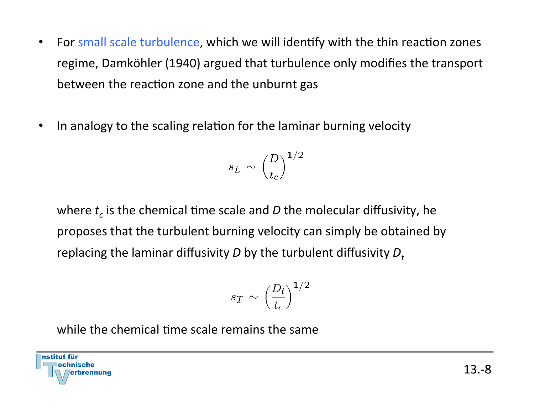- For small scale turbulence, which we will identify with the thin reaction zones regime, Damköhler (1940) argued that turbulence only modifies the transport between the reaction zone and the unburnt gas
- In analogy to the scaling relation for the laminar burning velocity

$$
s_L \, \sim \, \Big(\frac{D}{t_c}\Big)^{1/2}
$$

where  $t_c$  is the chemical time scale and *D* the molecular diffusivity, he proposes that the turbulent burning velocity can simply be obtained by replacing the laminar diffusivity  $D$  by the turbulent diffusivity  $D_t$ 

$$
s_T \, \sim \, \Bigl(\frac{D_t}{t_c}\Bigr)^{1/2}
$$

while the chemical time scale remains the same

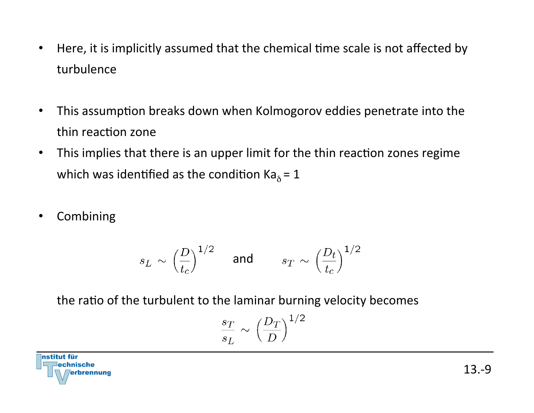- Here, it is implicitly assumed that the chemical time scale is not affected by turbulence
- This assumption breaks down when Kolmogorov eddies penetrate into the thin reaction zone
- This implies that there is an upper limit for the thin reaction zones regime which was identified as the condition  $Ka_{\delta} = 1$
- Combining

$$
s_L \sim \Big(\frac{D}{t_c}\Big)^{1/2} \quad \text{ and } \quad s_T \sim \Big(\frac{D_t}{t_c}\Big)^{1/2}
$$

the ratio of the turbulent to the laminar burning velocity becomes

$$
\frac{s_T}{s_L} \sim \left(\frac{D_T}{D}\right)^{1/2}
$$

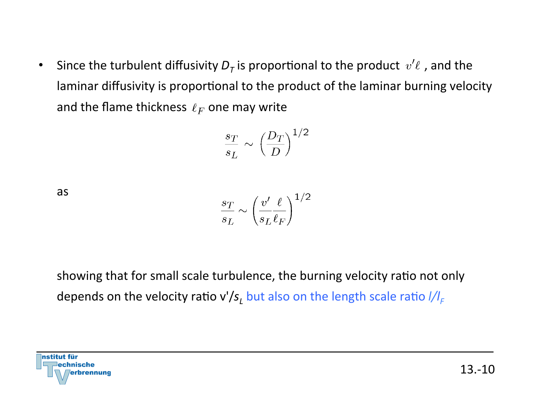• Since the turbulent diffusivity  $D<sub>T</sub>$  is proportional to the product  $v'\ell$ , and the laminar diffusivity is proportional to the product of the laminar burning velocity and the flame thickness  $\ell_F$  one may write

$$
\frac{s_T}{s_L} \sim \left(\frac{D_T}{D}\right)^{1/2}
$$

as 

$$
\frac{s_T}{s_L} \sim \left(\frac{v'}{s_L \, \ell_F}\right)^{1/2}
$$

showing that for small scale turbulence, the burning velocity ratio not only depends on the velocity ratio v'/s<sub>L</sub> but also on the length scale ratio  $I/I_F$ 

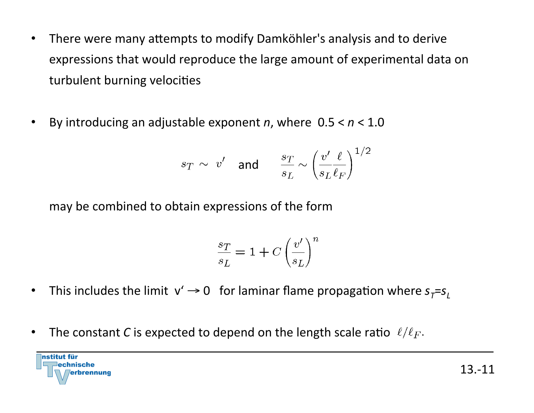- There were many attempts to modify Damköhler's analysis and to derive expressions that would reproduce the large amount of experimental data on turbulent burning velocities
- By introducing an adjustable exponent *n*, where  $0.5 < n < 1.0$

$$
s_T \, \sim \, \, v' \quad \text{and} \quad \quad \frac{s_T}{s_L} \sim \left( \frac{v'}{s_L \, \ell_F} \right)^{1/2}
$$

may be combined to obtain expressions of the form

$$
\frac{s_T}{s_L} = 1 + C \left(\frac{v'}{s_L}\right)^n
$$

- This includes the limit  $v' \rightarrow 0$  for laminar flame propagation where  $s_T = s_L$
- The constant *C* is expected to depend on the length scale ratio  $\ell/\ell_F$ .

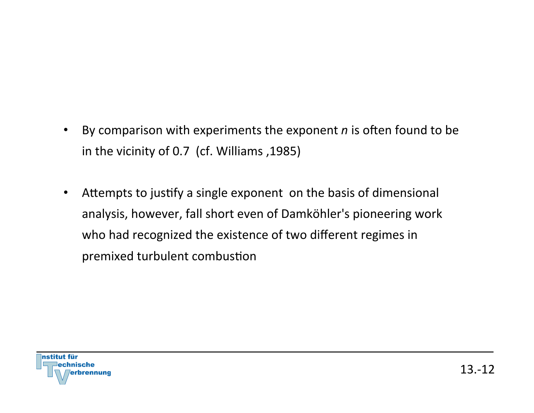- By comparison with experiments the exponent *n* is often found to be in the vicinity of 0.7 (cf. Williams, 1985)
- Attempts to justify a single exponent on the basis of dimensional analysis, however, fall short even of Damköhler's pioneering work who had recognized the existence of two different regimes in premixed turbulent combustion

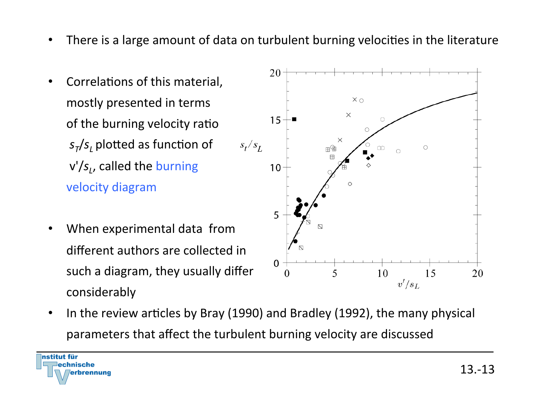- There is a large amount of data on turbulent burning velocities in the literature
- Correlations of this material, mostly presented in terms of the burning velocity ratio  $s_T/s$ , plotted as function of v'/s<sub>1</sub>, called the burning velocity diagram
- When experimental data from different authors are collected in such a diagram, they usually differ considerably



• In the review articles by Bray (1990) and Bradley (1992), the many physical parameters that affect the turbulent burning velocity are discussed

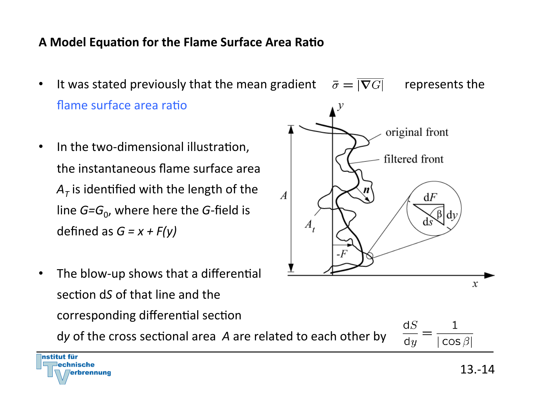### **A Model Equation for the Flame Surface Area Ratio**

• It was stated previously that the mean gradient  $\overline{\sigma} = |\overline{\nabla} \overline{G}|$  represents the flame surface area ratio

 $\overline{A}$ 

 $A_{.}$ 

- In the two-dimensional illustration, the instantaneous flame surface area  $A_T$  is identified with the length of the line  $G=G_0$ , where here the G-field is defined as  $G = x + F(y)$
- The blow-up shows that a differential section dS of that line and the corresponding differential section

dy of the cross sectional area A are related to each other by



original front

filtered front

 $dF$ 

ds

ß ldv



 $\boldsymbol{x}$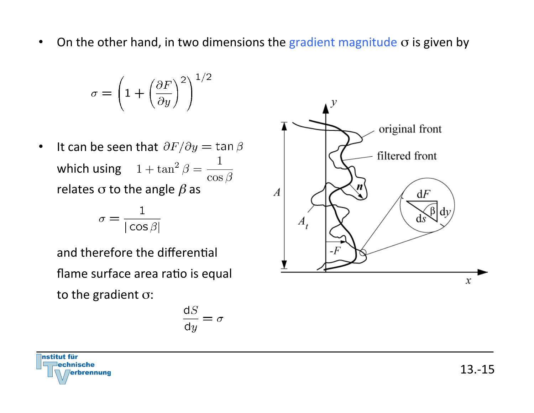• On the other hand, in two dimensions the gradient magnitude  $\sigma$  is given by

$$
\sigma = \left(1 + \left(\frac{\partial F}{\partial y}\right)^2\right)^{1/2}
$$

• It can be seen that  $\partial F/\partial y = \tan \beta$ which using  $1 + \tan^2 \beta = \frac{1}{\sqrt{2\pi}}$ relates  $\sigma$  to the angle  $\beta$  as  $\cos\beta$ 

$$
\sigma = \frac{1}{|\cos \beta|}
$$

and therefore the differential flame surface area ratio is equal to the gradient  $\sigma$ :

$$
\frac{\mathrm{d} S}{\mathrm{d} y} = \sigma
$$



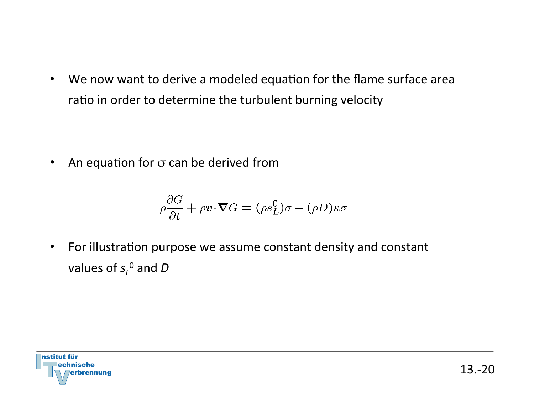• We now want to derive a modeled equation for the flame surface area ratio in order to determine the turbulent burning velocity

• An equation for  $\sigma$  can be derived from

$$
\rho \frac{\partial G}{\partial t} + \rho \boldsymbol{v} \cdot \boldsymbol{\nabla} G = (\rho s_L^0) \sigma - (\rho D) \kappa \sigma
$$

• For illustration purpose we assume constant density and constant values of  $s_{\scriptscriptstyle L}^{\,0}$  and  $D$ 

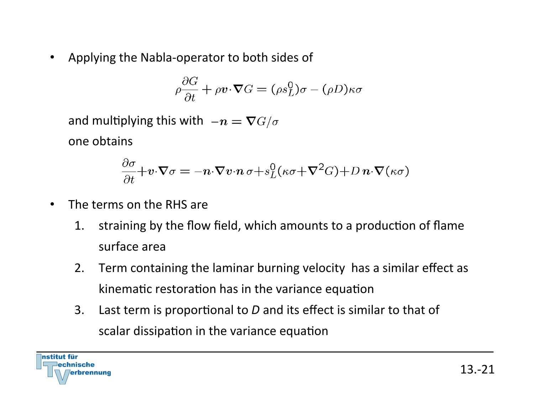• Applying the Nabla-operator to both sides of

$$
\rho \frac{\partial G}{\partial t} + \rho \mathbf{v} \cdot \nabla G = (\rho s_L^0) \sigma - (\rho D) \kappa \sigma
$$

and multiplying this with  $-n = \nabla G/\sigma$ one obtains 

$$
\frac{\partial \sigma}{\partial t} + v \cdot \nabla \sigma = -n \cdot \nabla v \cdot n \sigma + s_L^0 (\kappa \sigma + \nabla^2 G) + D n \cdot \nabla (\kappa \sigma)
$$

- The terms on the RHS are
	- 1. straining by the flow field, which amounts to a production of flame surface area
	- 2. Term containing the laminar burning velocity has a similar effect as kinematic restoration has in the variance equation
	- 3. Last term is proportional to *D* and its effect is similar to that of scalar dissipation in the variance equation

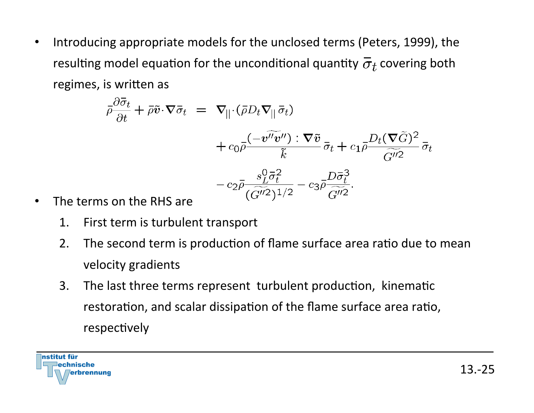Introducing appropriate models for the unclosed terms (Peters, 1999), the resulting model equation for the unconditional quantity  $\bar{\sigma}_t$  covering both regimes, is written as

$$
\bar{\rho}\frac{\partial \bar{\sigma}_t}{\partial t} + \bar{\rho}\tilde{v}\cdot\nabla\bar{\sigma}_t = \nabla_{||}\cdot(\bar{\rho}D_t\nabla_{||}\bar{\sigma}_t) \n+ c_0\bar{\rho}\frac{(-v''v'') : \nabla\tilde{v}}{\tilde{k}}\bar{\sigma}_t + c_1\bar{\rho}\frac{D_t(\nabla\tilde{G})^2}{\tilde{G}''^2}\bar{\sigma}_t \n- c_2\bar{\rho}\frac{s_L^0\bar{\sigma}_t^2}{(\tilde{G}''^2)^{1/2}} - c_3\bar{\rho}\frac{D\bar{\sigma}_t^3}{\tilde{G}''^2}.
$$

- The terms on the RHS are
	- 1. First term is turbulent transport
	- 2. The second term is production of flame surface area ratio due to mean velocity gradients
	- 3. The last three terms represent turbulent production, kinematic restoration, and scalar dissipation of the flame surface area ratio, respectively

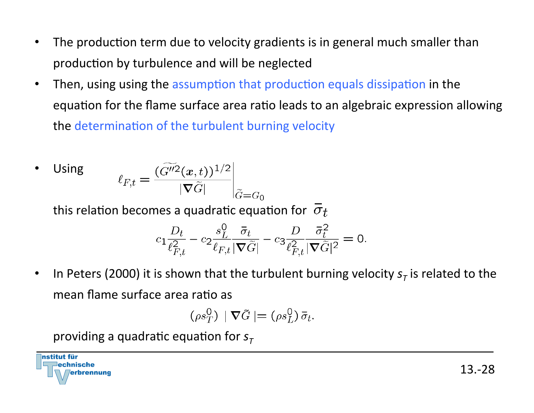- The production term due to velocity gradients is in general much smaller than production by turbulence and will be neglected
- Then, using using the assumption that production equals dissipation in the equation for the flame surface area ratio leads to an algebraic expression allowing the determination of the turbulent burning velocity

• Using 
$$
\ell_{F,t} = \frac{(\widetilde{G''^2}(x,t))^{1/2}}{|\nabla \widetilde{G}|}\bigg|_{\widetilde{G} = G_0}
$$

this relation becomes a quadratic equation for  $\sigma_t$ 

$$
c_1 \frac{D_t}{\ell_{F,t}^2} - c_2 \frac{s_L^0}{\ell_{F,t} |\nabla \tilde{G}|} - c_3 \frac{D}{\ell_{F,t}^2} \frac{\bar{\sigma}_t^2}{|\nabla \tilde{G}|^2} = 0.
$$

In Peters (2000) it is shown that the turbulent burning velocity  $s<sub>\tau</sub>$  is related to the mean flame surface area ratio as

$$
(\rho s_T^0) \mid \nabla \tilde{G} \mid = (\rho s_L^0) \, \bar{\sigma}_t.
$$

providing a quadratic equation for  $s<sub>\tau</sub>$ 

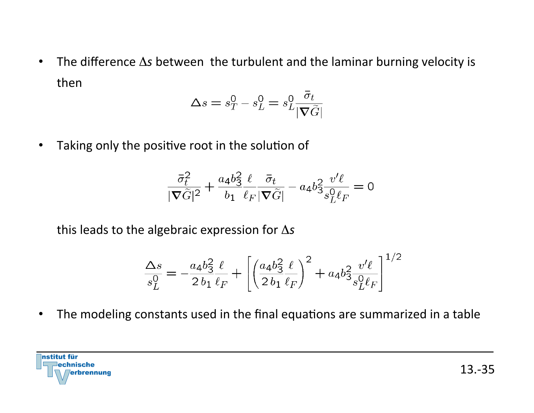• The difference  $\Delta s$  between the turbulent and the laminar burning velocity is then 

$$
\Delta s = s_T^0 - s_L^0 = s_L^0 \frac{\sigma_t}{|\nabla \tilde{G}|}
$$

• Taking only the positive root in the solution of

$$
\frac{\bar{\sigma}_t^2}{\nabla \tilde{G}|^2} + \frac{a_4 b_3^2 \ell}{b_1 \ell_F |\nabla \tilde{G}|} - a_4 b_3^2 \frac{v'\ell}{s_L^0 \ell_F} = 0
$$

this leads to the algebraic expression for Δs

$$
\frac{\Delta s}{s_L^0} = -\frac{a_4 b_3^2 \ell}{2 b_1 \ell_F} + \left[ \left( \frac{a_4 b_3^2 \ell}{2 b_1 \ell_F} \right)^2 + a_4 b_3^2 \frac{v'\ell}{s_L^0 \ell_F} \right]^{1/2}
$$

• The modeling constants used in the final equations are summarized in a table

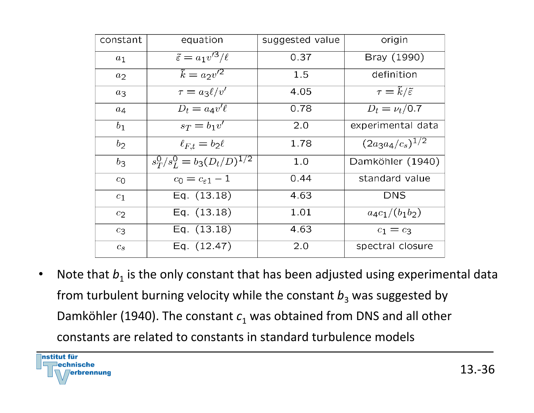| constant       | equation                              | suggested value | origin                                 |
|----------------|---------------------------------------|-----------------|----------------------------------------|
| $a_1$          | $\tilde{\varepsilon} = a_1 v'^3/\ell$ | 0.37            | Bray (1990)                            |
| $a_2$          | $\tilde{k} = a_2 v'^2$                | 1.5             | definition                             |
| $a_3$          | $\tau = a_3 \ell/v'$                  | 4.05            | $\tau = \tilde{k}/\tilde{\varepsilon}$ |
| $a_4$          | $D_t = a_4 v' \ell$                   | 0.78            | $D_t = \nu_t / \overline{0.7}$         |
| b <sub>1</sub> | $s_T = b_1 v'$                        | 2.0             | experimental data                      |
| $b_2$          | $\ell_{F,t} = b_2 \ell$               | 1.78            | $(2a_3a_4/c_s)^{1/2}$                  |
| $b_3$          | $s_T^0/s_L^0 = b_3(D_t/D)^{1/2}$      | 1.0             | Damköhler (1940)                       |
| $c_0$          | $c_0=c_{\varepsilon 1}-1$             | 0.44            | standard value                         |
| $c_1$          | Eq. $(13.18)$                         | 4.63            | <b>DNS</b>                             |
| c <sub>2</sub> | Eq. $(13.18)$                         | 1.01            | $a_4c_1/(b_1b_2)$                      |
| $c_3$          | Eq. $(13.18)$                         | 4.63            | $c_1 = c_3$                            |
| $c_{s}$        | Eq. $(12.47)$                         | 2.0             | spectral closure                       |

• Note that  $b_1$  is the only constant that has been adjusted using experimental data from turbulent burning velocity while the constant  $b_3$  was suggested by Damköhler (1940). The constant  $c_1$  was obtained from DNS and all other constants are related to constants in standard turbulence models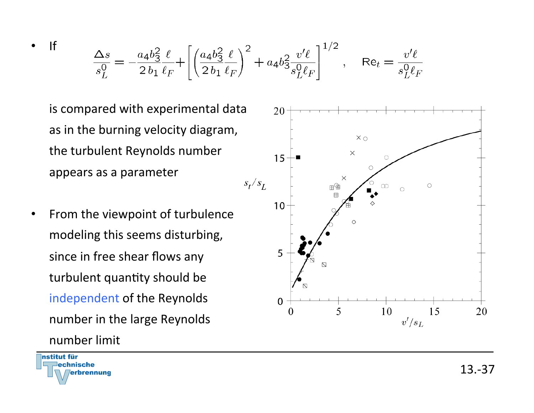$$
\frac{\Delta s}{s_L^0} = -\frac{a_4 b_3^2 \ell}{2 \, b_1 \, \ell_F} + \left[ \left( \frac{a_4 b_3^2 \ell}{2 \, b_1 \, \ell_F} \right)^2 + a_4 b_3^2 \frac{v' \ell}{s_L^0 \ell_F} \right]^{1/2}, \quad \text{Re}_t = \frac{v' \ell}{s_L^0 \ell_F}
$$

20

is compared with experimental data as in the burning velocity diagram, the turbulent Reynolds number appears as a parameter

• From the viewpoint of turbulence modeling this seems disturbing, since in free shear flows any turbulent quantity should be independent of the Reynolds number in the large Reynolds number limit 





• If 

20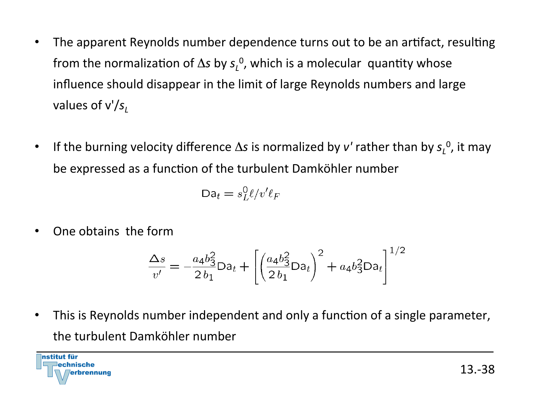- The apparent Reynolds number dependence turns out to be an artifact, resulting from the normalization of  $\Delta s$  by  $s_L^0$ , which is a molecular quantity whose influence should disappear in the limit of large Reynolds numbers and large values of  $v'/s$ <sub>l</sub>
- If the burning velocity difference  $\Delta s$  is normalized by *v'* rather than by  $s_L^0$ , it may be expressed as a function of the turbulent Damköhler number

$$
Da_t = s_L^0 \ell / v' \ell_F
$$

One obtains the form

$$
\frac{\Delta s}{v'} = -\frac{a_4 b_3^2}{2 b_1} Da_t + \left[ \left( \frac{a_4 b_3^2}{2 b_1} Da_t \right)^2 + a_4 b_3^2 Da_t \right]^{1/2}
$$

This is Reynolds number independent and only a function of a single parameter, the turbulent Damköhler number

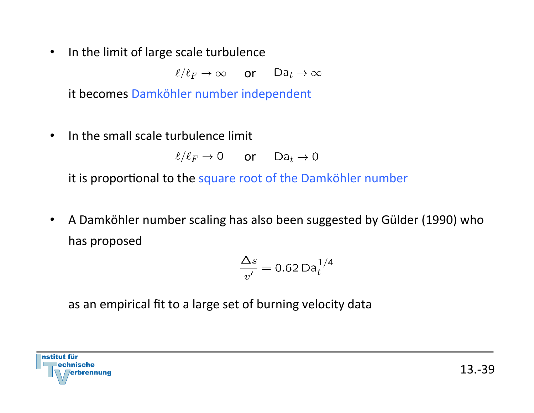• In the limit of large scale turbulence

 $\ell/\ell_F \to \infty$  or  $Da_t \to \infty$ 

it becomes Damköhler number independent

 $\cdot$  In the small scale turbulence limit

 $\ell/\ell_F \to 0$  or  $Da_t \to 0$ 

it is proportional to the square root of the Damköhler number

• A Damköhler number scaling has also been suggested by Gülder (1990) who has proposed

$$
\frac{\Delta s}{v'} = 0.62 \,\text{Da}_t^{1/4}
$$

as an empirical fit to a large set of burning velocity data

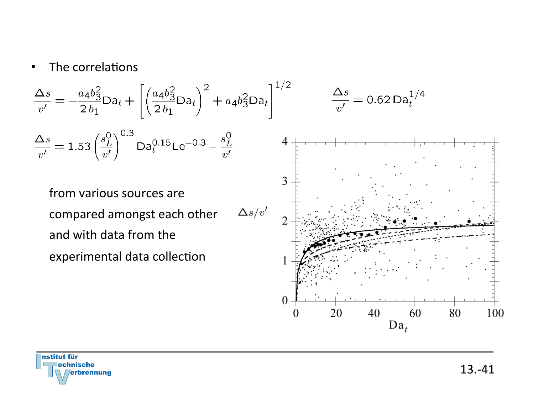#### • The correlations

$$
\frac{\Delta s}{v'} = -\frac{a_4 b_3^2}{2 b_1} Da_t + \left[ \left( \frac{a_4 b_3^2}{2 b_1} Da_t \right)^2 + a_4 b_3^2 Da_t \right]^{1/2} \qquad \frac{\Delta s}{v'} = 0.62 Da_t^{1/4}
$$

$$
\frac{\Delta s}{v'} = 1.53 \left(\frac{s_L^0}{v'}\right)^{0.3} \text{Da}_t^{0.15} \text{Le}^{-0.3} - \frac{s_L^0}{v'}
$$

from various sources are  $\Delta s/v'$ compared amongst each other and with data from the experimental data collection





13.-41